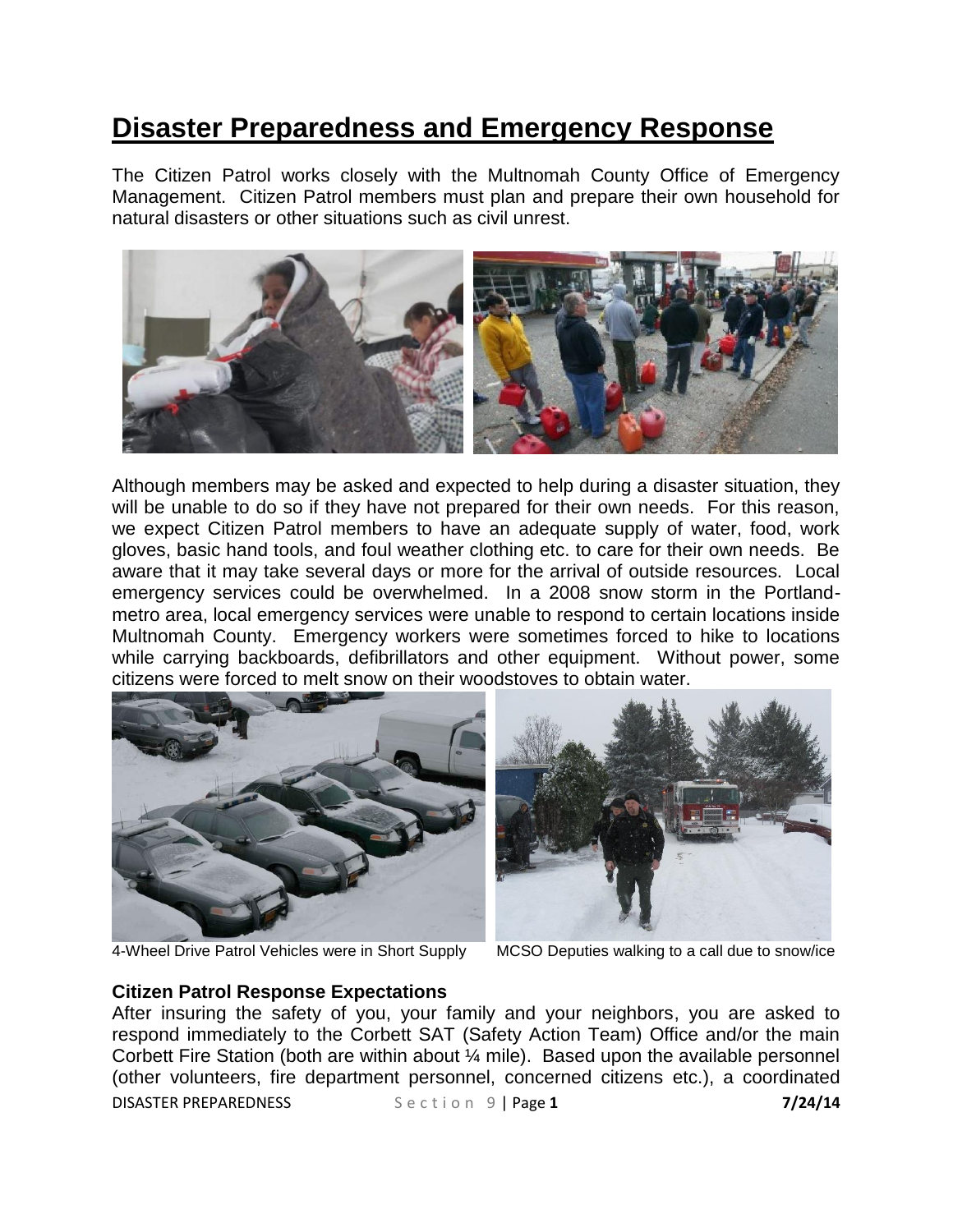## **Disaster Preparedness and Emergency Response**

The Citizen Patrol works closely with the Multnomah County Office of Emergency Management. Citizen Patrol members must plan and prepare their own household for natural disasters or other situations such as civil unrest.



Although members may be asked and expected to help during a disaster situation, they will be unable to do so if they have not prepared for their own needs. For this reason, we expect Citizen Patrol members to have an adequate supply of water, food, work gloves, basic hand tools, and foul weather clothing etc. to care for their own needs. Be aware that it may take several days or more for the arrival of outside resources. Local emergency services could be overwhelmed. In a 2008 snow storm in the Portlandmetro area, local emergency services were unable to respond to certain locations inside Multnomah County. Emergency workers were sometimes forced to hike to locations while carrying backboards, defibrillators and other equipment. Without power, some citizens were forced to melt snow on their woodstoves to obtain water.





4-Wheel Drive Patrol Vehicles were in Short Supply MCSO Deputies walking to a call due to snow/ice

## **Citizen Patrol Response Expectations**

DISASTER PREPAREDNESS Section 9 | Page 1 **7/24/14** After insuring the safety of you, your family and your neighbors, you are asked to respond immediately to the Corbett SAT (Safety Action Team) Office and/or the main Corbett Fire Station (both are within about ¼ mile). Based upon the available personnel (other volunteers, fire department personnel, concerned citizens etc.), a coordinated